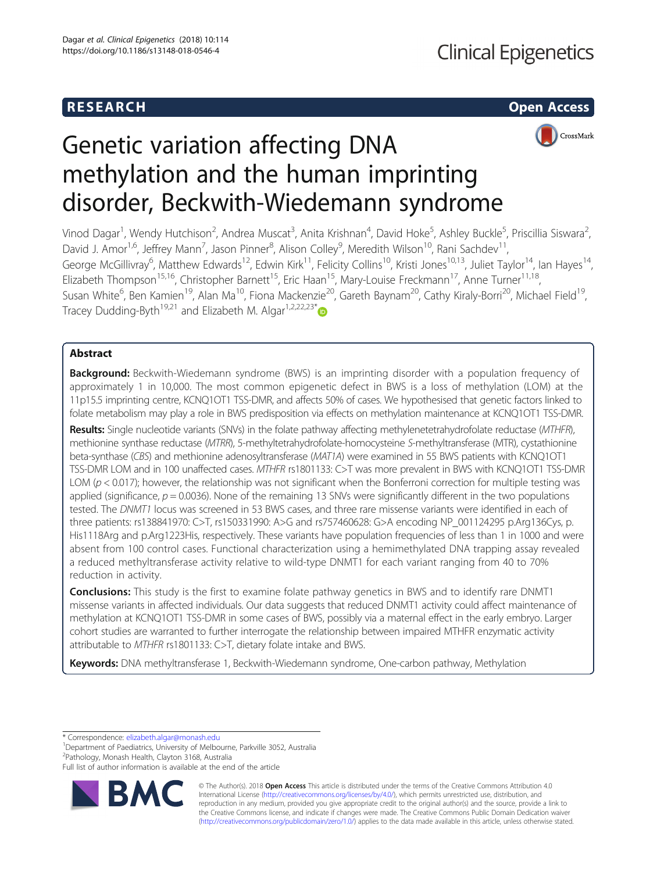# R E S EAR CH Open Access



# Genetic variation affecting DNA methylation and the human imprinting disorder, Beckwith-Wiedemann syndrome

Vinod Dagar<sup>1</sup>, Wendy Hutchison<sup>2</sup>, Andrea Muscat<sup>3</sup>, Anita Krishnan<sup>4</sup>, David Hoke<sup>5</sup>, Ashley Buckle<sup>5</sup>, Priscillia Siswara<sup>2</sup> .<br>, David J. Amor<sup>1,6</sup>, Jeffrey Mann<sup>7</sup>, Jason Pinner<sup>8</sup>, Alison Colley<sup>9</sup>, Meredith Wilson<sup>10</sup>, Rani Sachdev<sup>11</sup>, George McGillivray<sup>6</sup>, Matthew Edwards<sup>12</sup>, Edwin Kirk<sup>11</sup>, Felicity Collins<sup>10</sup>, Kristi Jones<sup>10,13</sup>, Juliet Taylor<sup>14</sup>, Ian Hayes<sup>14</sup>, Elizabeth Thompson<sup>15,16</sup>, Christopher Barnett<sup>15</sup>, Eric Haan<sup>15</sup>, Mary-Louise Freckmann<sup>17</sup>, Anne Turner<sup>11,18</sup>, Susan White<sup>6</sup>, Ben Kamien<sup>19</sup>, Alan Ma<sup>10</sup>, Fiona Mackenzie<sup>20</sup>, Gareth Baynam<sup>20</sup>, Cathy Kiraly-Borri<sup>20</sup>, Michael Field<sup>19</sup>, Tracey Dudding-Byth<sup>19,21</sup> and Elizabeth M. Algar<sup>1,2,22,23\*</sup>

# Abstract

Background: Beckwith-Wiedemann syndrome (BWS) is an imprinting disorder with a population frequency of approximately 1 in 10,000. The most common epigenetic defect in BWS is a loss of methylation (LOM) at the 11p15.5 imprinting centre, KCNQ1OT1 TSS-DMR, and affects 50% of cases. We hypothesised that genetic factors linked to folate metabolism may play a role in BWS predisposition via effects on methylation maintenance at KCNQ1OT1 TSS-DMR.

Results: Single nucleotide variants (SNVs) in the folate pathway affecting methylenetetrahydrofolate reductase (MTHFR), methionine synthase reductase (MTRR), 5-methyltetrahydrofolate-homocysteine S-methyltransferase (MTR), cystathionine beta-synthase (CBS) and methionine adenosyltransferase (MAT1A) were examined in 55 BWS patients with KCNQ1OT1 TSS-DMR LOM and in 100 unaffected cases. MTHFR rs1801133: C>T was more prevalent in BWS with KCNQ1OT1 TSS-DMR LOM ( $p < 0.017$ ); however, the relationship was not significant when the Bonferroni correction for multiple testing was applied (significance,  $p = 0.0036$ ). None of the remaining 13 SNVs were significantly different in the two populations tested. The DNMT1 locus was screened in 53 BWS cases, and three rare missense variants were identified in each of three patients: rs138841970: C>T, rs150331990: A>G and rs757460628: G>A encoding NP\_001124295 p.Arg136Cys, p. His1118Arg and p.Arg1223His, respectively. These variants have population frequencies of less than 1 in 1000 and were absent from 100 control cases. Functional characterization using a hemimethylated DNA trapping assay revealed a reduced methyltransferase activity relative to wild-type DNMT1 for each variant ranging from 40 to 70% reduction in activity.

**Conclusions:** This study is the first to examine folate pathway genetics in BWS and to identify rare DNMT1 missense variants in affected individuals. Our data suggests that reduced DNMT1 activity could affect maintenance of methylation at KCNQ1OT1 TSS-DMR in some cases of BWS, possibly via a maternal effect in the early embryo. Larger cohort studies are warranted to further interrogate the relationship between impaired MTHFR enzymatic activity attributable to MTHFR rs1801133: C>T, dietary folate intake and BWS.

Keywords: DNA methyltransferase 1, Beckwith-Wiedemann syndrome, One-carbon pathway, Methylation

\* Correspondence: elizabeth.algar@monash.edu <sup>1</sup>

<sup>1</sup>Department of Paediatrics, University of Melbourne, Parkville 3052, Australia 2 Pathology, Monash Health, Clayton 3168, Australia

Full list of author information is available at the end of the article



© The Author(s). 2018 Open Access This article is distributed under the terms of the Creative Commons Attribution 4.0 International License (http://creativecommons.org/licenses/by/4.0/), which permits unrestricted use, distribution, and reproduction in any medium, provided you give appropriate credit to the original author(s) and the source, provide a link to the Creative Commons license, and indicate if changes were made. The Creative Commons Public Domain Dedication waiver (http://creativecommons.org/publicdomain/zero/1.0/) applies to the data made available in this article, unless otherwise stated.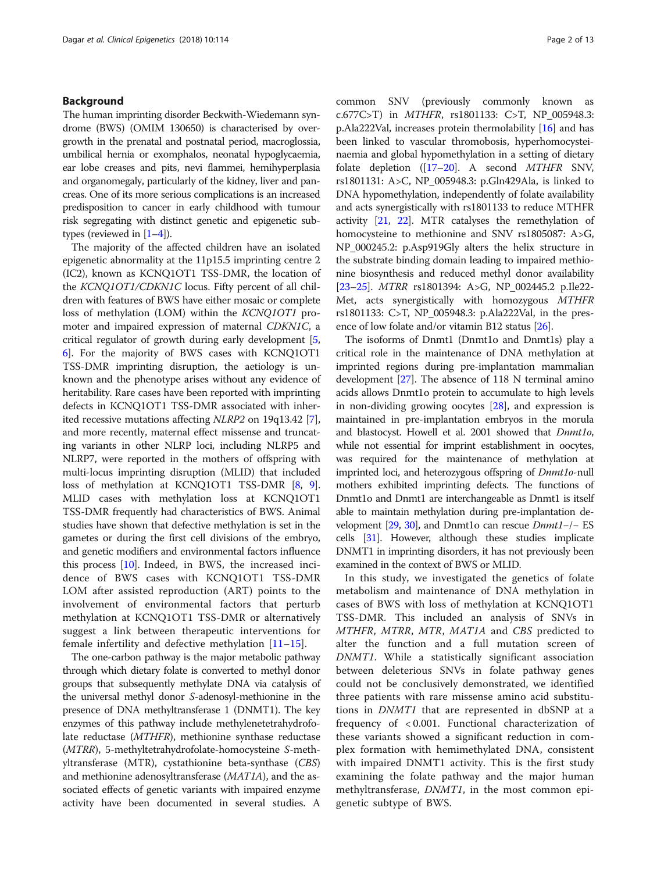# Background

The human imprinting disorder Beckwith-Wiedemann syndrome (BWS) (OMIM 130650) is characterised by overgrowth in the prenatal and postnatal period, macroglossia, umbilical hernia or exomphalos, neonatal hypoglycaemia, ear lobe creases and pits, nevi flammei, hemihyperplasia and organomegaly, particularly of the kidney, liver and pancreas. One of its more serious complications is an increased predisposition to cancer in early childhood with tumour risk segregating with distinct genetic and epigenetic subtypes (reviewed in [1–4]).

The majority of the affected children have an isolated epigenetic abnormality at the 11p15.5 imprinting centre 2 (IC2), known as KCNQ1OT1 TSS-DMR, the location of the KCNQ1OT1/CDKN1C locus. Fifty percent of all children with features of BWS have either mosaic or complete loss of methylation (LOM) within the KCNQ1OT1 promoter and impaired expression of maternal CDKN1C, a critical regulator of growth during early development [5, 6]. For the majority of BWS cases with KCNQ1OT1 TSS-DMR imprinting disruption, the aetiology is unknown and the phenotype arises without any evidence of heritability. Rare cases have been reported with imprinting defects in KCNQ1OT1 TSS-DMR associated with inherited recessive mutations affecting NLRP2 on 19q13.42 [7], and more recently, maternal effect missense and truncating variants in other NLRP loci, including NLRP5 and NLRP7, were reported in the mothers of offspring with multi-locus imprinting disruption (MLID) that included loss of methylation at KCNQ1OT1 TSS-DMR [8, 9]. MLID cases with methylation loss at KCNQ1OT1 TSS-DMR frequently had characteristics of BWS. Animal studies have shown that defective methylation is set in the gametes or during the first cell divisions of the embryo, and genetic modifiers and environmental factors influence this process [10]. Indeed, in BWS, the increased incidence of BWS cases with KCNQ1OT1 TSS-DMR LOM after assisted reproduction (ART) points to the involvement of environmental factors that perturb methylation at KCNQ1OT1 TSS-DMR or alternatively suggest a link between therapeutic interventions for female infertility and defective methylation [11–15].

The one-carbon pathway is the major metabolic pathway through which dietary folate is converted to methyl donor groups that subsequently methylate DNA via catalysis of the universal methyl donor S-adenosyl-methionine in the presence of DNA methyltransferase 1 (DNMT1). The key enzymes of this pathway include methylenetetrahydrofolate reductase (MTHFR), methionine synthase reductase (MTRR), 5-methyltetrahydrofolate-homocysteine S-methyltransferase (MTR), cystathionine beta-synthase (CBS) and methionine adenosyltransferase (MAT1A), and the associated effects of genetic variants with impaired enzyme activity have been documented in several studies. A

common SNV (previously commonly known as c.677C>T) in MTHFR, rs1801133: C>T, NP\_005948.3: p.Ala222Val, increases protein thermolability [16] and has been linked to vascular thromobosis, hyperhomocysteinaemia and global hypomethylation in a setting of dietary folate depletion ([17–20]. A second MTHFR SNV, rs1801131: A>C, NP\_005948.3: p.Gln429Ala, is linked to DNA hypomethylation, independently of folate availability and acts synergistically with rs1801133 to reduce MTHFR activity [21, 22]. MTR catalyses the remethylation of homocysteine to methionine and SNV rs1805087: A>G, NP\_000245.2: p.Asp919Gly alters the helix structure in the substrate binding domain leading to impaired methionine biosynthesis and reduced methyl donor availability [23–25]. MTRR rs1801394: A>G, NP\_002445.2 p.Ile22- Met, acts synergistically with homozygous MTHFR rs1801133: C>T, NP\_005948.3: p.Ala222Val, in the presence of low folate and/or vitamin B12 status [26].

The isoforms of Dnmt1 (Dnmt1o and Dnmt1s) play a critical role in the maintenance of DNA methylation at imprinted regions during pre-implantation mammalian development [27]. The absence of 118 N terminal amino acids allows Dnmt1o protein to accumulate to high levels in non-dividing growing oocytes [28], and expression is maintained in pre-implantation embryos in the morula and blastocyst. Howell et al. 2001 showed that Dnmt1o, while not essential for imprint establishment in oocytes, was required for the maintenance of methylation at imprinted loci, and heterozygous offspring of Dnmt1o-null mothers exhibited imprinting defects. The functions of Dnmt1o and Dnmt1 are interchangeable as Dnmt1 is itself able to maintain methylation during pre-implantation development [29, 30], and Dnmt1o can rescue Dnmt1−/− ES cells [31]. However, although these studies implicate DNMT1 in imprinting disorders, it has not previously been examined in the context of BWS or MLID.

In this study, we investigated the genetics of folate metabolism and maintenance of DNA methylation in cases of BWS with loss of methylation at KCNQ1OT1 TSS-DMR. This included an analysis of SNVs in MTHFR, MTRR, MTR, MAT1A and CBS predicted to alter the function and a full mutation screen of DNMT1. While a statistically significant association between deleterious SNVs in folate pathway genes could not be conclusively demonstrated, we identified three patients with rare missense amino acid substitutions in DNMT1 that are represented in dbSNP at a frequency of < 0.001. Functional characterization of these variants showed a significant reduction in complex formation with hemimethylated DNA, consistent with impaired DNMT1 activity. This is the first study examining the folate pathway and the major human methyltransferase, DNMT1, in the most common epigenetic subtype of BWS.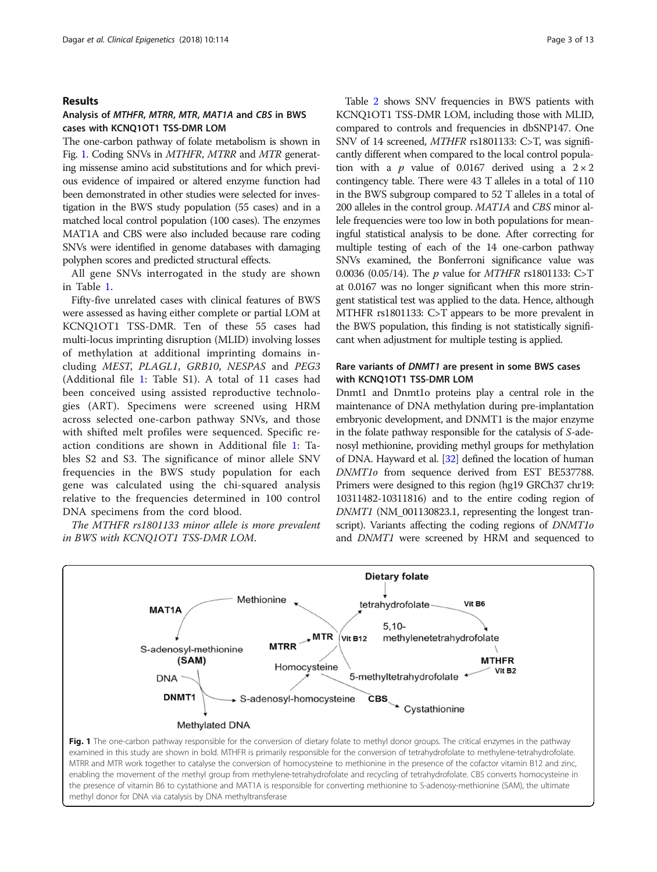#### Results

# Analysis of MTHFR, MTRR, MTR, MAT1A and CBS in BWS cases with KCNQ1OT1 TSS-DMR LOM

The one-carbon pathway of folate metabolism is shown in Fig. 1. Coding SNVs in MTHFR, MTRR and MTR generating missense amino acid substitutions and for which previous evidence of impaired or altered enzyme function had been demonstrated in other studies were selected for investigation in the BWS study population (55 cases) and in a matched local control population (100 cases). The enzymes MAT1A and CBS were also included because rare coding SNVs were identified in genome databases with damaging polyphen scores and predicted structural effects.

All gene SNVs interrogated in the study are shown in Table 1.

Fifty-five unrelated cases with clinical features of BWS were assessed as having either complete or partial LOM at KCNQ1OT1 TSS-DMR. Ten of these 55 cases had multi-locus imprinting disruption (MLID) involving losses of methylation at additional imprinting domains including MEST, PLAGL1, GRB10, NESPAS and PEG3 (Additional file 1: Table S1). A total of 11 cases had been conceived using assisted reproductive technologies (ART). Specimens were screened using HRM across selected one-carbon pathway SNVs, and those with shifted melt profiles were sequenced. Specific reaction conditions are shown in Additional file 1: Tables S2 and S3. The significance of minor allele SNV frequencies in the BWS study population for each gene was calculated using the chi-squared analysis relative to the frequencies determined in 100 control DNA specimens from the cord blood.

The MTHFR rs1801133 minor allele is more prevalent in BWS with KCNQ1OT1 TSS-DMR LOM.

Table 2 shows SNV frequencies in BWS patients with KCNQ1OT1 TSS-DMR LOM, including those with MLID, compared to controls and frequencies in dbSNP147. One SNV of 14 screened, MTHFR rs1801133: C>T, was significantly different when compared to the local control population with a *p* value of 0.0167 derived using a  $2 \times 2$ contingency table. There were 43 T alleles in a total of 110 in the BWS subgroup compared to 52 T alleles in a total of 200 alleles in the control group. MAT1A and CBS minor allele frequencies were too low in both populations for meaningful statistical analysis to be done. After correcting for multiple testing of each of the 14 one-carbon pathway SNVs examined, the Bonferroni significance value was 0.0036 (0.05/14). The p value for MTHFR rs1801133: C>T at 0.0167 was no longer significant when this more stringent statistical test was applied to the data. Hence, although MTHFR rs1801133: C>T appears to be more prevalent in the BWS population, this finding is not statistically significant when adjustment for multiple testing is applied.

# Rare variants of DNMT1 are present in some BWS cases with KCNQ1OT1 TSS-DMR LOM

Dnmt1 and Dnmt1o proteins play a central role in the maintenance of DNA methylation during pre-implantation embryonic development, and DNMT1 is the major enzyme in the folate pathway responsible for the catalysis of S-adenosyl methionine, providing methyl groups for methylation of DNA. Hayward et al. [32] defined the location of human DNMT1o from sequence derived from EST BE537788. Primers were designed to this region (hg19 GRCh37 chr19: 10311482-10311816) and to the entire coding region of DNMT1 (NM\_001130823.1, representing the longest transcript). Variants affecting the coding regions of  $DNMT1o$ and DNMT1 were screened by HRM and sequenced to



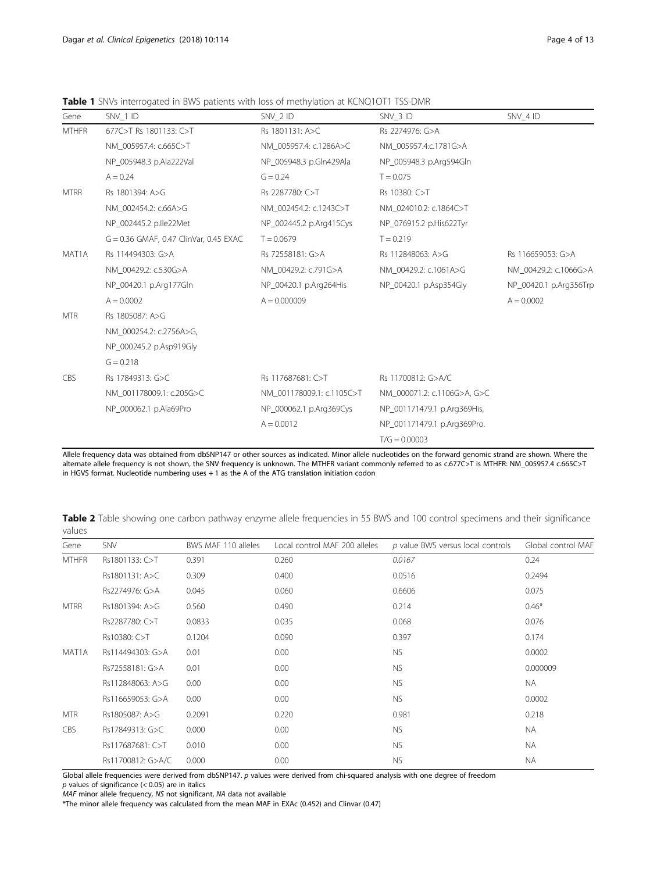Table 1 SNVs interrogated in BWS patients with loss of methylation at KCNQ1OT1 TSS-DMR

| SNV 4 ID               |
|------------------------|
|                        |
|                        |
|                        |
|                        |
|                        |
|                        |
|                        |
|                        |
| Rs 116659053: G>A      |
| NM 00429.2: c.1066G>A  |
| NP_00420.1 p.Arg356Trp |
| $A = 0.0002$           |
|                        |
|                        |
|                        |
|                        |
|                        |
|                        |
|                        |
|                        |
|                        |
|                        |

Allele frequency data was obtained from dbSNP147 or other sources as indicated. Minor allele nucleotides on the forward genomic strand are shown. Where the alternate allele frequency is not shown, the SNV frequency is unknown. The MTHFR variant commonly referred to as c.677C>T is MTHFR: NM\_005957.4 c.665C>T in HGVS format. Nucleotide numbering uses + 1 as the A of the ATG translation initiation codon

Table 2 Table showing one carbon pathway enzyme allele frequencies in 55 BWS and 100 control specimens and their significance values

| Gene         | SNV               | BWS MAF 110 alleles | Local control MAF 200 alleles | p value BWS versus local controls | Global control MAF |
|--------------|-------------------|---------------------|-------------------------------|-----------------------------------|--------------------|
| <b>MTHFR</b> | Rs1801133: C>T    | 0.391               | 0.260                         | 0.0167                            | 0.24               |
|              | Rs1801131: A>C    | 0.309               | 0.400                         | 0.0516                            | 0.2494             |
|              | Rs2274976: G>A    | 0.045               | 0.060                         | 0.6606                            | 0.075              |
| <b>MTRR</b>  | Rs1801394: A>G    | 0.560               | 0.490                         | 0.214                             | $0.46*$            |
|              | Rs2287780: C>T    | 0.0833              | 0.035                         | 0.068                             | 0.076              |
|              | Rs10380: C>T      | 0.1204              | 0.090                         | 0.397                             | 0.174              |
| MAT1A        | Rs114494303: G>A  | 0.01                | 0.00                          | NS.                               | 0.0002             |
|              | Rs72558181: G>A   | 0.01                | 0.00                          | <b>NS</b>                         | 0.000009           |
|              | Rs112848063: A>G  | 0.00                | 0.00                          | <b>NS</b>                         | <b>NA</b>          |
|              | Rs116659053: G>A  | 0.00                | 0.00                          | <b>NS</b>                         | 0.0002             |
| <b>MTR</b>   | Rs1805087: A>G    | 0.2091              | 0.220                         | 0.981                             | 0.218              |
| <b>CBS</b>   | Rs17849313: G>C   | 0.000               | 0.00                          | <b>NS</b>                         | <b>NA</b>          |
|              | Rs117687681: C>T  | 0.010               | 0.00                          | <b>NS</b>                         | <b>NA</b>          |
|              | Rs11700812: G>A/C | 0.000               | 0.00                          | <b>NS</b>                         | <b>NA</b>          |

Global allele frequencies were derived from dbSNP147. p values were derived from chi-squared analysis with one degree of freedom

p values of significance (< 0.05) are in italics

MAF minor allele frequency, NS not significant, NA data not available

\*The minor allele frequency was calculated from the mean MAF in EXAc (0.452) and Clinvar (0.47)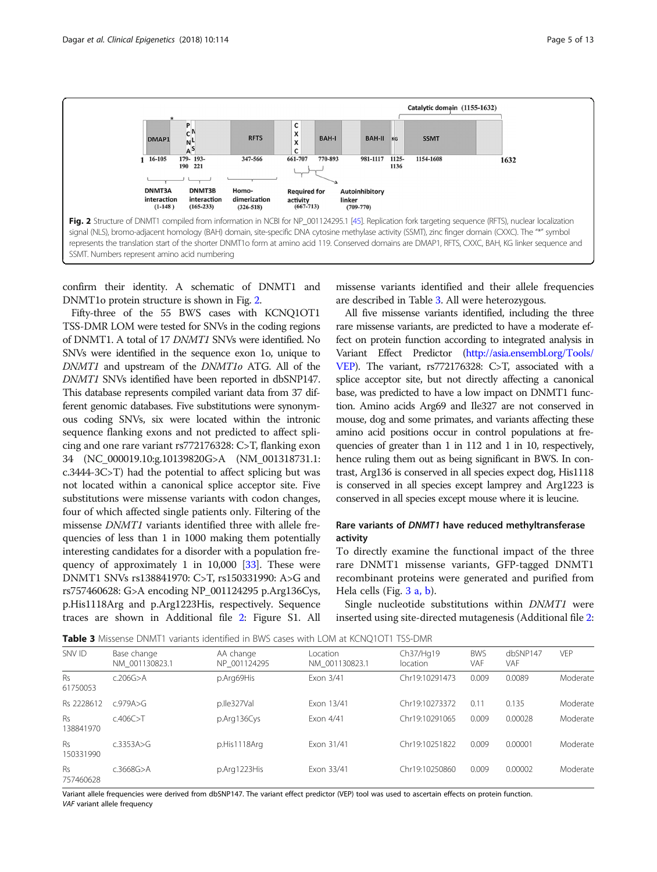

confirm their identity. A schematic of DNMT1 and DNMT1o protein structure is shown in Fig. 2.

Fifty-three of the 55 BWS cases with KCNQ1OT1 TSS-DMR LOM were tested for SNVs in the coding regions of DNMT1. A total of 17 DNMT1 SNVs were identified. No SNVs were identified in the sequence exon 1o, unique to DNMT1 and upstream of the DNMT1o ATG. All of the DNMT1 SNVs identified have been reported in dbSNP147. This database represents compiled variant data from 37 different genomic databases. Five substitutions were synonymous coding SNVs, six were located within the intronic sequence flanking exons and not predicted to affect splicing and one rare variant rs772176328: C>T, flanking exon 34 (NC\_000019.10:g.10139820G>A (NM\_001318731.1: c.3444-3C>T) had the potential to affect splicing but was not located within a canonical splice acceptor site. Five substitutions were missense variants with codon changes, four of which affected single patients only. Filtering of the missense DNMT1 variants identified three with allele frequencies of less than 1 in 1000 making them potentially interesting candidates for a disorder with a population frequency of approximately 1 in 10,000 [33]. These were DNMT1 SNVs rs138841970: C>T, rs150331990: A>G and rs757460628: G>A encoding NP\_001124295 p.Arg136Cys, p.His1118Arg and p.Arg1223His, respectively. Sequence traces are shown in Additional file 2: Figure S1. All missense variants identified and their allele frequencies are described in Table 3. All were heterozygous.

All five missense variants identified, including the three rare missense variants, are predicted to have a moderate effect on protein function according to integrated analysis in Variant Effect Predictor (http://asia.ensembl.org/Tools/ VEP). The variant, rs772176328: C>T, associated with a splice acceptor site, but not directly affecting a canonical base, was predicted to have a low impact on DNMT1 function. Amino acids Arg69 and Ile327 are not conserved in mouse, dog and some primates, and variants affecting these amino acid positions occur in control populations at frequencies of greater than 1 in 112 and 1 in 10, respectively, hence ruling them out as being significant in BWS. In contrast, Arg136 is conserved in all species expect dog, His1118 is conserved in all species except lamprey and Arg1223 is conserved in all species except mouse where it is leucine.

# Rare variants of DNMT1 have reduced methyltransferase activity

To directly examine the functional impact of the three rare DNMT1 missense variants, GFP-tagged DNMT1 recombinant proteins were generated and purified from Hela cells (Fig. 3 a, b).

Single nucleotide substitutions within DNMT1 were inserted using site-directed mutagenesis (Additional file 2:

Table 3 Missense DNMT1 variants identified in BWS cases with LOM at KCNQ1OT1 TSS-DMR

| SNV ID                 | Base change<br>NM 001130823.1 | AA change<br>NP 001124295 | Location<br>NM 001130823.1 | Ch37/Hg19<br>location | <b>BWS</b><br>VAF | dbSNP147<br><b>VAF</b> | <b>VEP</b> |
|------------------------|-------------------------------|---------------------------|----------------------------|-----------------------|-------------------|------------------------|------------|
| <b>Rs</b><br>61750053  | c.206G > A                    | p.Arg69His                | Exon 3/41                  | Chr19:10291473        | 0.009             | 0.0089                 | Moderate   |
| Rs 2228612             | c.979A > G                    | p.lle327Val               | Exon 13/41                 | Chr19:10273372        | 0.11              | 0.135                  | Moderate   |
| <b>Rs</b><br>138841970 | c.406C > T                    | p.Arg136Cys               | Fxon 4/41                  | Chr19:10291065        | 0.009             | 0.00028                | Moderate   |
| <b>Rs</b><br>150331990 | c.3353A > G                   | p.His1118Arg              | Fxon 31/41                 | Chr19:10251822        | 0.009             | 0.00001                | Moderate   |
| <b>Rs</b><br>757460628 | c.3668G > A                   | p.Arg1223His              | Exon 33/41                 | Chr19:10250860        | 0.009             | 0.00002                | Moderate   |

Variant allele frequencies were derived from dbSNP147. The variant effect predictor (VEP) tool was used to ascertain effects on protein function. VAF variant allele frequency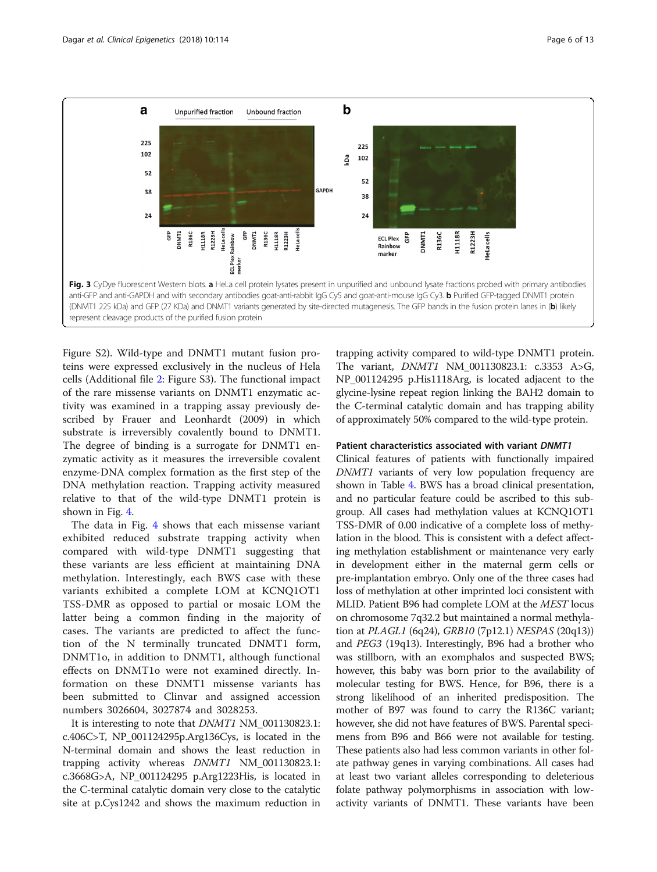

Figure S2). Wild-type and DNMT1 mutant fusion proteins were expressed exclusively in the nucleus of Hela cells (Additional file 2: Figure S3). The functional impact of the rare missense variants on DNMT1 enzymatic activity was examined in a trapping assay previously described by Frauer and Leonhardt (2009) in which substrate is irreversibly covalently bound to DNMT1. The degree of binding is a surrogate for DNMT1 enzymatic activity as it measures the irreversible covalent enzyme-DNA complex formation as the first step of the DNA methylation reaction. Trapping activity measured relative to that of the wild-type DNMT1 protein is shown in Fig. 4.

The data in Fig. 4 shows that each missense variant exhibited reduced substrate trapping activity when compared with wild-type DNMT1 suggesting that these variants are less efficient at maintaining DNA methylation. Interestingly, each BWS case with these variants exhibited a complete LOM at KCNQ1OT1 TSS-DMR as opposed to partial or mosaic LOM the latter being a common finding in the majority of cases. The variants are predicted to affect the function of the N terminally truncated DNMT1 form, DNMT1o, in addition to DNMT1, although functional effects on DNMT1o were not examined directly. Information on these DNMT1 missense variants has been submitted to Clinvar and assigned accession numbers 3026604, 3027874 and 3028253.

It is interesting to note that *DNMT1* NM\_001130823.1: c.406C>T, NP\_001124295p.Arg136Cys, is located in the N-terminal domain and shows the least reduction in trapping activity whereas DNMT1 NM\_001130823.1: c.3668G>A, NP\_001124295 p.Arg1223His, is located in the C-terminal catalytic domain very close to the catalytic site at p.Cys1242 and shows the maximum reduction in

trapping activity compared to wild-type DNMT1 protein. The variant, DNMT1 NM\_001130823.1: c.3353 A>G, NP\_001124295 p.His1118Arg, is located adjacent to the glycine-lysine repeat region linking the BAH2 domain to the C-terminal catalytic domain and has trapping ability of approximately 50% compared to the wild-type protein.

#### Patient characteristics associated with variant DNMT1

Clinical features of patients with functionally impaired DNMT1 variants of very low population frequency are shown in Table 4. BWS has a broad clinical presentation, and no particular feature could be ascribed to this subgroup. All cases had methylation values at KCNQ1OT1 TSS-DMR of 0.00 indicative of a complete loss of methylation in the blood. This is consistent with a defect affecting methylation establishment or maintenance very early in development either in the maternal germ cells or pre-implantation embryo. Only one of the three cases had loss of methylation at other imprinted loci consistent with MLID. Patient B96 had complete LOM at the MEST locus on chromosome 7q32.2 but maintained a normal methylation at PLAGL1 (6q24), GRB10 (7p12.1) NESPAS (20q13)) and PEG3 (19q13). Interestingly, B96 had a brother who was stillborn, with an exomphalos and suspected BWS; however, this baby was born prior to the availability of molecular testing for BWS. Hence, for B96, there is a strong likelihood of an inherited predisposition. The mother of B97 was found to carry the R136C variant; however, she did not have features of BWS. Parental specimens from B96 and B66 were not available for testing. These patients also had less common variants in other folate pathway genes in varying combinations. All cases had at least two variant alleles corresponding to deleterious folate pathway polymorphisms in association with lowactivity variants of DNMT1. These variants have been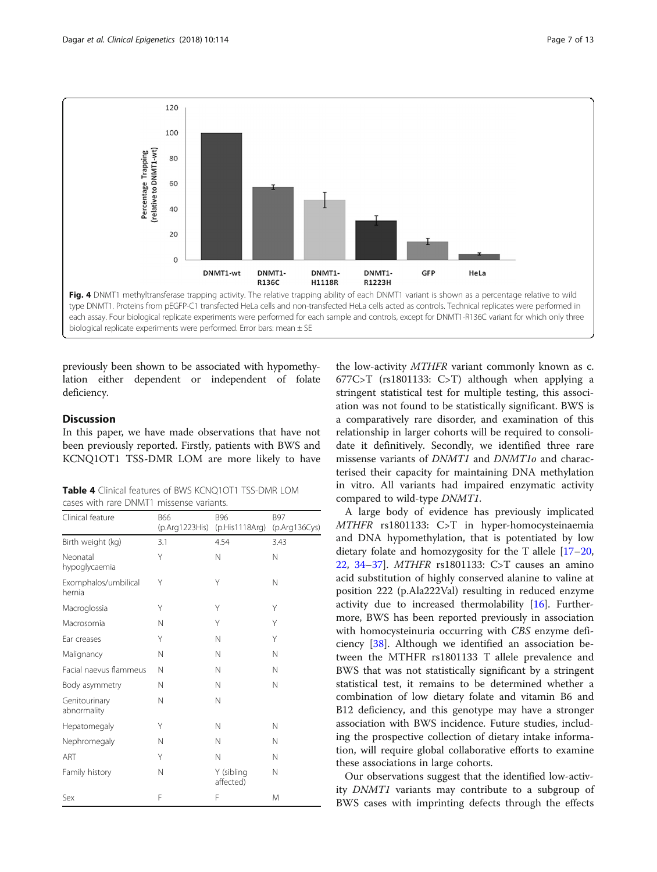

previously been shown to be associated with hypomethylation either dependent or independent of folate deficiency.

# **Discussion**

In this paper, we have made observations that have not been previously reported. Firstly, patients with BWS and KCNQ1OT1 TSS-DMR LOM are more likely to have

Table 4 Clinical features of BWS KCNO1OT1 TSS-DMR LOM cases with rare DNMT1 missense variants.

| Clinical feature               | <b>B66</b><br>(p.Arg1223His) | <b>B96</b><br>(p.His1118Arg) | <b>B97</b><br>(p.Arg136Cys) |
|--------------------------------|------------------------------|------------------------------|-----------------------------|
| Birth weight (kg)              | 3.1                          | 4.54                         | 3.43                        |
| Neonatal<br>hypoglycaemia      | Υ                            | N                            | N                           |
| Exomphalos/umbilical<br>hernia | Υ                            | Υ                            | N                           |
| Macroglossia                   | Υ                            | Υ                            | Υ                           |
| Macrosomia                     | N                            | Υ                            | Υ                           |
| Ear creases                    | Y                            | Ν                            | Υ                           |
| Malignancy                     | N                            | Ν                            | N                           |
| Facial naevus flammeus         | N                            | Ν                            | N                           |
| Body asymmetry                 | N                            | N                            | N                           |
| Genitourinary<br>abnormality   | N                            | N                            |                             |
| Hepatomegaly                   | Y                            | N                            | N                           |
| Nephromegaly                   | N                            | N                            | N                           |
| ART                            | Y                            | N                            | N                           |
| Family history                 | N                            | Y (sibling<br>affected)      | N                           |
| Sex                            | F                            | F                            | M                           |

the low-activity MTHFR variant commonly known as c. 677C>T (rs1801133: C>T) although when applying a stringent statistical test for multiple testing, this association was not found to be statistically significant. BWS is a comparatively rare disorder, and examination of this relationship in larger cohorts will be required to consolidate it definitively. Secondly, we identified three rare missense variants of DNMT1 and DNMT1o and characterised their capacity for maintaining DNA methylation in vitro. All variants had impaired enzymatic activity compared to wild-type DNMT1.

A large body of evidence has previously implicated MTHFR rs1801133: C>T in hyper-homocysteinaemia and DNA hypomethylation, that is potentiated by low dietary folate and homozygosity for the T allele [17–20, 22, 34–37]. MTHFR rs1801133: C>T causes an amino acid substitution of highly conserved alanine to valine at position 222 (p.Ala222Val) resulting in reduced enzyme activity due to increased thermolability [16]. Furthermore, BWS has been reported previously in association with homocysteinuria occurring with CBS enzyme deficiency [38]. Although we identified an association between the MTHFR rs1801133 T allele prevalence and BWS that was not statistically significant by a stringent statistical test, it remains to be determined whether a combination of low dietary folate and vitamin B6 and B12 deficiency, and this genotype may have a stronger association with BWS incidence. Future studies, including the prospective collection of dietary intake information, will require global collaborative efforts to examine these associations in large cohorts.

Our observations suggest that the identified low-activity DNMT1 variants may contribute to a subgroup of BWS cases with imprinting defects through the effects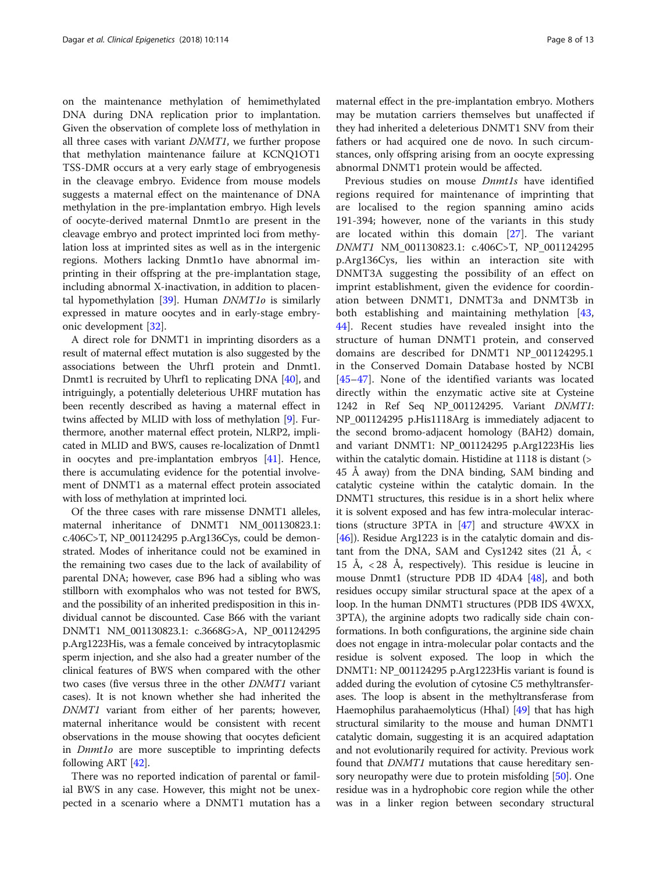on the maintenance methylation of hemimethylated DNA during DNA replication prior to implantation. Given the observation of complete loss of methylation in all three cases with variant DNMT1, we further propose that methylation maintenance failure at KCNQ1OT1 TSS-DMR occurs at a very early stage of embryogenesis in the cleavage embryo. Evidence from mouse models suggests a maternal effect on the maintenance of DNA methylation in the pre-implantation embryo. High levels of oocyte-derived maternal Dnmt1o are present in the cleavage embryo and protect imprinted loci from methylation loss at imprinted sites as well as in the intergenic regions. Mothers lacking Dnmt1o have abnormal imprinting in their offspring at the pre-implantation stage, including abnormal X-inactivation, in addition to placental hypomethylation  $[39]$ . Human  $DNMT1$ o is similarly expressed in mature oocytes and in early-stage embryonic development [32].

A direct role for DNMT1 in imprinting disorders as a result of maternal effect mutation is also suggested by the associations between the Uhrf1 protein and Dnmt1. Dnmt1 is recruited by Uhrf1 to replicating DNA [40], and intriguingly, a potentially deleterious UHRF mutation has been recently described as having a maternal effect in twins affected by MLID with loss of methylation [9]. Furthermore, another maternal effect protein, NLRP2, implicated in MLID and BWS, causes re-localization of Dnmt1 in oocytes and pre-implantation embryos [41]. Hence, there is accumulating evidence for the potential involvement of DNMT1 as a maternal effect protein associated with loss of methylation at imprinted loci.

Of the three cases with rare missense DNMT1 alleles, maternal inheritance of DNMT1 NM\_001130823.1: c.406C>T, NP\_001124295 p.Arg136Cys, could be demonstrated. Modes of inheritance could not be examined in the remaining two cases due to the lack of availability of parental DNA; however, case B96 had a sibling who was stillborn with exomphalos who was not tested for BWS, and the possibility of an inherited predisposition in this individual cannot be discounted. Case B66 with the variant DNMT1 NM\_001130823.1: c.3668G>A, NP\_001124295 p.Arg1223His, was a female conceived by intracytoplasmic sperm injection, and she also had a greater number of the clinical features of BWS when compared with the other two cases (five versus three in the other DNMT1 variant cases). It is not known whether she had inherited the DNMT1 variant from either of her parents; however, maternal inheritance would be consistent with recent observations in the mouse showing that oocytes deficient in Dnmt1o are more susceptible to imprinting defects following ART [42].

There was no reported indication of parental or familial BWS in any case. However, this might not be unexpected in a scenario where a DNMT1 mutation has a

maternal effect in the pre-implantation embryo. Mothers may be mutation carriers themselves but unaffected if they had inherited a deleterious DNMT1 SNV from their fathers or had acquired one de novo. In such circumstances, only offspring arising from an oocyte expressing abnormal DNMT1 protein would be affected.

Previous studies on mouse Dnmt1s have identified regions required for maintenance of imprinting that are localised to the region spanning amino acids 191-394; however, none of the variants in this study are located within this domain [27]. The variant DNMT1 NM\_001130823.1: c.406C>T, NP\_001124295 p.Arg136Cys, lies within an interaction site with DNMT3A suggesting the possibility of an effect on imprint establishment, given the evidence for coordination between DNMT1, DNMT3a and DNMT3b in both establishing and maintaining methylation [43, 44]. Recent studies have revealed insight into the structure of human DNMT1 protein, and conserved domains are described for DNMT1 NP\_001124295.1 in the Conserved Domain Database hosted by NCBI [45–47]. None of the identified variants was located directly within the enzymatic active site at Cysteine 1242 in Ref Seq NP\_001124295. Variant DNMT1: NP\_001124295 p.His1118Arg is immediately adjacent to the second bromo-adjacent homology (BAH2) domain, and variant DNMT1: NP\_001124295 p.Arg1223His lies within the catalytic domain. Histidine at 1118 is distant (> 45 Å away) from the DNA binding, SAM binding and catalytic cysteine within the catalytic domain. In the DNMT1 structures, this residue is in a short helix where it is solvent exposed and has few intra-molecular interactions (structure 3PTA in [47] and structure 4WXX in [46]). Residue Arg1223 is in the catalytic domain and distant from the DNA, SAM and Cys1242 sites  $(21 \text{ Å}, \text{~}$ 15 Å,  $\langle 28 \text{ Å}, \text{ respectively} \rangle$ . This residue is leucine in mouse Dnmt1 (structure PDB ID 4DA4 [48], and both residues occupy similar structural space at the apex of a loop. In the human DNMT1 structures (PDB IDS 4WXX, 3PTA), the arginine adopts two radically side chain conformations. In both configurations, the arginine side chain does not engage in intra-molecular polar contacts and the residue is solvent exposed. The loop in which the DNMT1: NP\_001124295 p.Arg1223His variant is found is added during the evolution of cytosine C5 methyltransferases. The loop is absent in the methyltransferase from Haemophilus parahaemolyticus (HhaI) [49] that has high structural similarity to the mouse and human DNMT1 catalytic domain, suggesting it is an acquired adaptation and not evolutionarily required for activity. Previous work found that DNMT1 mutations that cause hereditary sensory neuropathy were due to protein misfolding [50]. One residue was in a hydrophobic core region while the other was in a linker region between secondary structural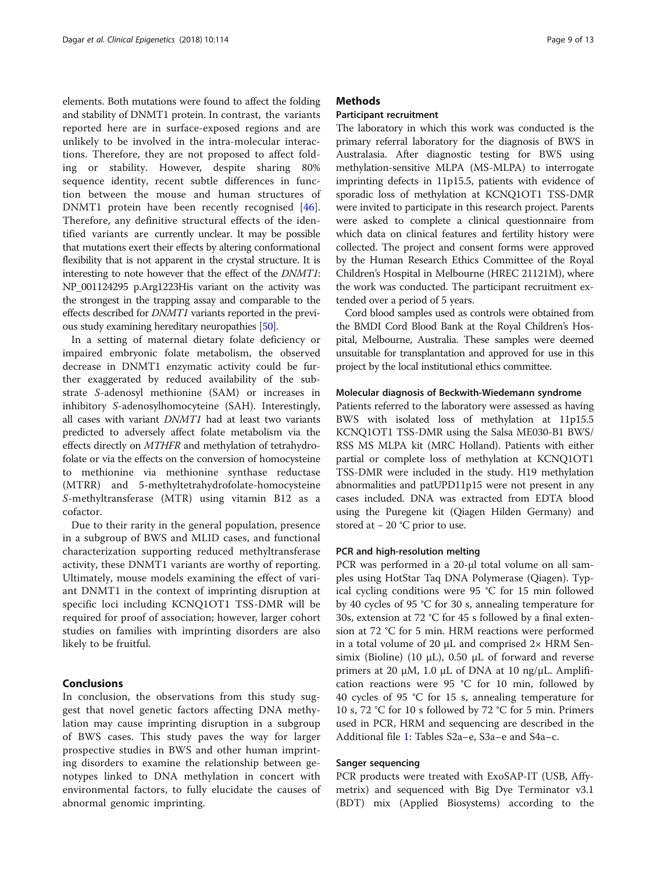elements. Both mutations were found to affect the folding and stability of DNMT1 protein. In contrast, the variants reported here are in surface-exposed regions and are unlikely to be involved in the intra-molecular interactions. Therefore, they are not proposed to affect folding or stability. However, despite sharing 80% sequence identity, recent subtle differences in function between the mouse and human structures of DNMT1 protein have been recently recognised [46]. Therefore, any definitive structural effects of the identified variants are currently unclear. It may be possible that mutations exert their effects by altering conformational flexibility that is not apparent in the crystal structure. It is interesting to note however that the effect of the DNMT1: NP\_001124295 p.Arg1223His variant on the activity was the strongest in the trapping assay and comparable to the effects described for DNMT1 variants reported in the previous study examining hereditary neuropathies [50].

In a setting of maternal dietary folate deficiency or impaired embryonic folate metabolism, the observed decrease in DNMT1 enzymatic activity could be further exaggerated by reduced availability of the substrate S-adenosyl methionine (SAM) or increases in inhibitory S-adenosylhomocyteine (SAH). Interestingly, all cases with variant DNMT1 had at least two variants predicted to adversely affect folate metabolism via the effects directly on MTHFR and methylation of tetrahydrofolate or via the effects on the conversion of homocysteine to methionine via methionine synthase reductase (MTRR) and 5-methyltetrahydrofolate-homocysteine S-methyltransferase (MTR) using vitamin B12 as a cofactor.

Due to their rarity in the general population, presence in a subgroup of BWS and MLID cases, and functional characterization supporting reduced methyltransferase activity, these DNMT1 variants are worthy of reporting. Ultimately, mouse models examining the effect of variant DNMT1 in the context of imprinting disruption at specific loci including KCNQ1OT1 TSS-DMR will be required for proof of association; however, larger cohort studies on families with imprinting disorders are also likely to be fruitful.

#### Conclusions

In conclusion, the observations from this study suggest that novel genetic factors affecting DNA methylation may cause imprinting disruption in a subgroup of BWS cases. This study paves the way for larger prospective studies in BWS and other human imprinting disorders to examine the relationship between genotypes linked to DNA methylation in concert with environmental factors, to fully elucidate the causes of abnormal genomic imprinting.

#### **Methods**

#### Participant recruitment

The laboratory in which this work was conducted is the primary referral laboratory for the diagnosis of BWS in Australasia. After diagnostic testing for BWS using methylation-sensitive MLPA (MS-MLPA) to interrogate imprinting defects in 11p15.5, patients with evidence of sporadic loss of methylation at KCNQ1OT1 TSS-DMR were invited to participate in this research project. Parents were asked to complete a clinical questionnaire from which data on clinical features and fertility history were collected. The project and consent forms were approved by the Human Research Ethics Committee of the Royal Children's Hospital in Melbourne (HREC 21121M), where the work was conducted. The participant recruitment extended over a period of 5 years.

Cord blood samples used as controls were obtained from the BMDI Cord Blood Bank at the Royal Children's Hospital, Melbourne, Australia. These samples were deemed unsuitable for transplantation and approved for use in this project by the local institutional ethics committee.

#### Molecular diagnosis of Beckwith-Wiedemann syndrome

Patients referred to the laboratory were assessed as having BWS with isolated loss of methylation at 11p15.5 KCNQ1OT1 TSS-DMR using the Salsa ME030-B1 BWS/ RSS MS MLPA kit (MRC Holland). Patients with either partial or complete loss of methylation at KCNQ1OT1 TSS-DMR were included in the study. H19 methylation abnormalities and patUPD11p15 were not present in any cases included. DNA was extracted from EDTA blood using the Puregene kit (Qiagen Hilden Germany) and stored at − 20 °C prior to use.

#### PCR and high-resolution melting

PCR was performed in a 20-μl total volume on all samples using HotStar Taq DNA Polymerase (Qiagen). Typical cycling conditions were 95 °C for 15 min followed by 40 cycles of 95 °C for 30 s, annealing temperature for 30s, extension at 72 °C for 45 s followed by a final extension at 72 °C for 5 min. HRM reactions were performed in a total volume of 20  $\mu$ L and comprised 2× HRM Sensimix (Bioline) (10 μL), 0.50 μL of forward and reverse primers at 20 μM, 1.0 μL of DNA at 10 ng/μL. Amplification reactions were 95 °C for 10 min, followed by 40 cycles of 95 °C for 15 s, annealing temperature for 10 s, 72 °C for 10 s followed by 72 °C for 5 min. Primers used in PCR, HRM and sequencing are described in the Additional file 1: Tables S2a–e, S3a–e and S4a–c.

#### Sanger sequencing

PCR products were treated with ExoSAP-IT (USB, Affymetrix) and sequenced with Big Dye Terminator v3.1 (BDT) mix (Applied Biosystems) according to the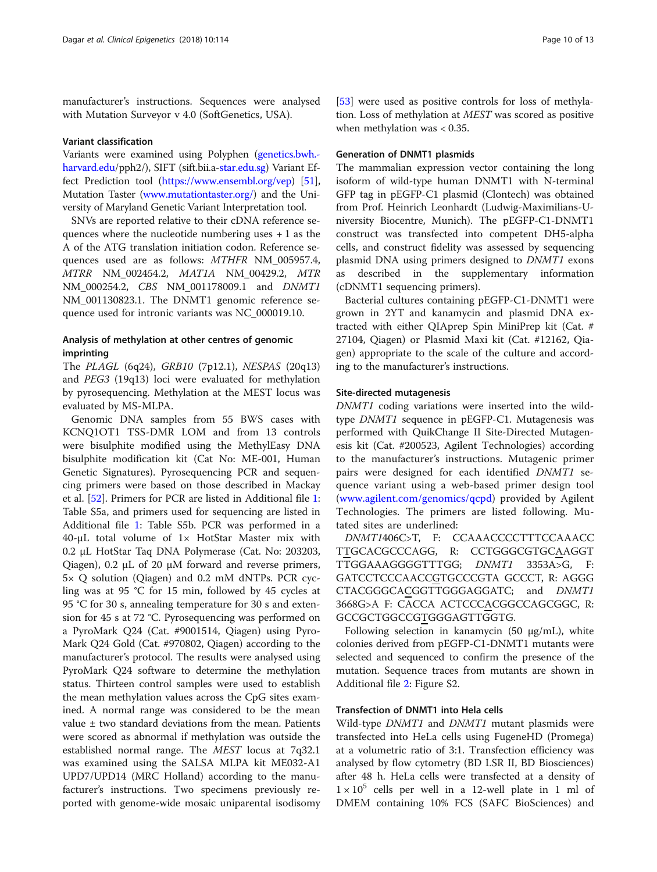manufacturer's instructions. Sequences were analysed with Mutation Surveyor v 4.0 (SoftGenetics, USA).

#### Variant classification

Variants were examined using Polyphen (genetics.bwh. harvard.edu/pph2/), SIFT (sift.bii.a-star.edu.sg) Variant Effect Prediction tool (https://www.ensembl.org/vep) [51], Mutation Taster (www.mutationtaster.org/) and the University of Maryland Genetic Variant Interpretation tool.

SNVs are reported relative to their cDNA reference sequences where the nucleotide numbering uses  $+1$  as the A of the ATG translation initiation codon. Reference sequences used are as follows: MTHFR NM\_005957.4, MTRR NM\_002454.2, MAT1A NM\_00429.2, MTR NM\_000254.2, CBS NM\_001178009.1 and DNMT1 NM\_001130823.1. The DNMT1 genomic reference sequence used for intronic variants was NC\_000019.10.

# Analysis of methylation at other centres of genomic imprinting

The PLAGL (6q24), GRB10 (7p12.1), NESPAS (20q13) and PEG3 (19q13) loci were evaluated for methylation by pyrosequencing. Methylation at the MEST locus was evaluated by MS-MLPA.

Genomic DNA samples from 55 BWS cases with KCNQ1OT1 TSS-DMR LOM and from 13 controls were bisulphite modified using the MethylEasy DNA bisulphite modification kit (Cat No: ME-001, Human Genetic Signatures). Pyrosequencing PCR and sequencing primers were based on those described in Mackay et al. [52]. Primers for PCR are listed in Additional file 1: Table S5a, and primers used for sequencing are listed in Additional file 1: Table S5b. PCR was performed in a 40-μL total volume of 1× HotStar Master mix with 0.2 μL HotStar Taq DNA Polymerase (Cat. No: 203203, Qiagen), 0.2 μL of 20 μM forward and reverse primers, 5× Q solution (Qiagen) and 0.2 mM dNTPs. PCR cycling was at 95 °C for 15 min, followed by 45 cycles at 95 °C for 30 s, annealing temperature for 30 s and extension for 45 s at 72 °C. Pyrosequencing was performed on a PyroMark Q24 (Cat. #9001514, Qiagen) using Pyro-Mark Q24 Gold (Cat. #970802, Qiagen) according to the manufacturer's protocol. The results were analysed using PyroMark Q24 software to determine the methylation status. Thirteen control samples were used to establish the mean methylation values across the CpG sites examined. A normal range was considered to be the mean value  $\pm$  two standard deviations from the mean. Patients were scored as abnormal if methylation was outside the established normal range. The MEST locus at 7q32.1 was examined using the SALSA MLPA kit ME032-A1 UPD7/UPD14 (MRC Holland) according to the manufacturer's instructions. Two specimens previously reported with genome-wide mosaic uniparental isodisomy

[53] were used as positive controls for loss of methylation. Loss of methylation at MEST was scored as positive when methylation was < 0.35.

# Generation of DNMT1 plasmids

The mammalian expression vector containing the long isoform of wild-type human DNMT1 with N-terminal GFP tag in pEGFP-C1 plasmid (Clontech) was obtained from Prof. Heinrich Leonhardt (Ludwig-Maximilians-University Biocentre, Munich). The pEGFP-C1-DNMT1 construct was transfected into competent DH5-alpha cells, and construct fidelity was assessed by sequencing plasmid DNA using primers designed to DNMT1 exons as described in the supplementary information (cDNMT1 sequencing primers).

Bacterial cultures containing pEGFP-C1-DNMT1 were grown in 2YT and kanamycin and plasmid DNA extracted with either QIAprep Spin MiniPrep kit (Cat. # 27104, Qiagen) or Plasmid Maxi kit (Cat. #12162, Qiagen) appropriate to the scale of the culture and according to the manufacturer's instructions.

#### Site-directed mutagenesis

DNMT1 coding variations were inserted into the wildtype DNMT1 sequence in pEGFP-C1. Mutagenesis was performed with QuikChange II Site-Directed Mutagenesis kit (Cat. #200523, Agilent Technologies) according to the manufacturer's instructions. Mutagenic primer pairs were designed for each identified DNMT1 sequence variant using a web-based primer design tool (www.agilent.com/genomics/qcpd) provided by Agilent Technologies. The primers are listed following. Mutated sites are underlined:

DNMT1406C>T, F: CCAAACCCCTTTCCAAACC TTGCACGCCCAGG, R: CCTGGGCGTGCAAGGT TTGGAAAGGGGTTTGG; DNMT1 3353A>G, F: GATCCTCCCAACCGTGCCCGTA GCCCT, R: AGGG CTACGGGCACGGTTGGGAGGATC; and DNMT1 3668G>A F: CACCA ACTCCCACGGCCAGCGGC, R: GCCGCTGGCCGTGGGAGTTGGTG.

Following selection in kanamycin (50 μg/mL), white colonies derived from pEGFP-C1-DNMT1 mutants were selected and sequenced to confirm the presence of the mutation. Sequence traces from mutants are shown in Additional file 2: Figure S2.

#### Transfection of DNMT1 into Hela cells

Wild-type *DNMT1* and *DNMT1* mutant plasmids were transfected into HeLa cells using FugeneHD (Promega) at a volumetric ratio of 3:1. Transfection efficiency was analysed by flow cytometry (BD LSR II, BD Biosciences) after 48 h. HeLa cells were transfected at a density of  $1 \times 10^5$  cells per well in a 12-well plate in 1 ml of DMEM containing 10% FCS (SAFC BioSciences) and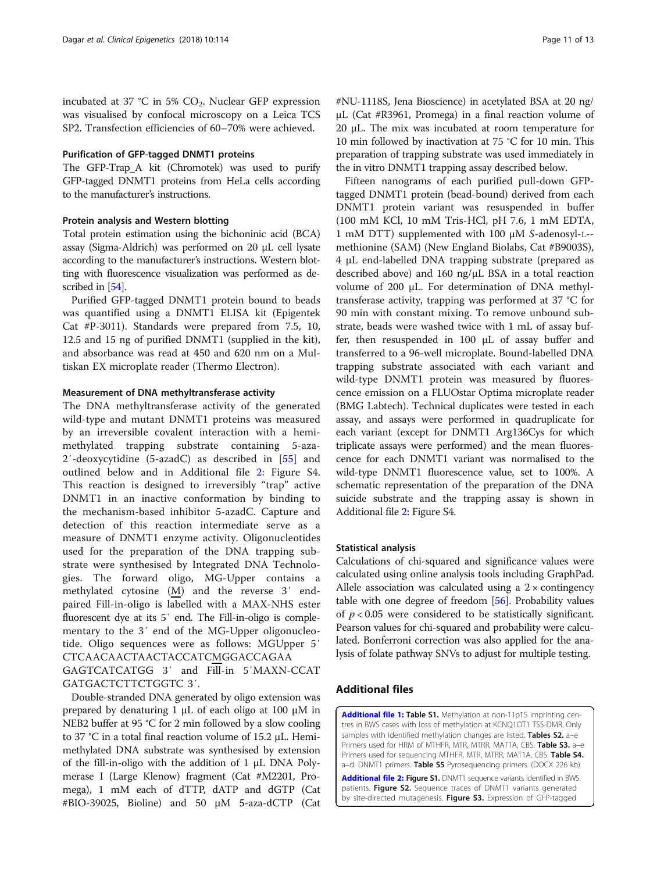incubated at 37 °C in 5%  $CO<sub>2</sub>$ . Nuclear GFP expression was visualised by confocal microscopy on a Leica TCS SP2. Transfection efficiencies of 60–70% were achieved.

# Purification of GFP-tagged DNMT1 proteins

The GFP-Trap\_A kit (Chromotek) was used to purify GFP-tagged DNMT1 proteins from HeLa cells according to the manufacturer's instructions.

# Protein analysis and Western blotting

Total protein estimation using the bichoninic acid (BCA) assay (Sigma-Aldrich) was performed on 20 μL cell lysate according to the manufacturer's instructions. Western blotting with fluorescence visualization was performed as described in [54].

Purified GFP-tagged DNMT1 protein bound to beads was quantified using a DNMT1 ELISA kit (Epigentek Cat #P-3011). Standards were prepared from 7.5, 10, 12.5 and 15 ng of purified DNMT1 (supplied in the kit), and absorbance was read at 450 and 620 nm on a Multiskan EX microplate reader (Thermo Electron).

#### Measurement of DNA methyltransferase activity

The DNA methyltransferase activity of the generated wild-type and mutant DNMT1 proteins was measured by an irreversible covalent interaction with a hemimethylated trapping substrate containing 5-aza-2′-deoxycytidine (5-azadC) as described in [55] and outlined below and in Additional file 2: Figure S4. This reaction is designed to irreversibly "trap" active DNMT1 in an inactive conformation by binding to the mechanism-based inhibitor 5-azadC. Capture and detection of this reaction intermediate serve as a measure of DNMT1 enzyme activity. Oligonucleotides used for the preparation of the DNA trapping substrate were synthesised by Integrated DNA Technologies. The forward oligo, MG-Upper contains a methylated cytosine (M) and the reverse 3′ endpaired Fill-in-oligo is labelled with a MAX-NHS ester fluorescent dye at its 5′ end. The Fill-in-oligo is complementary to the 3′ end of the MG-Upper oligonucleotide. Oligo sequences were as follows: MGUpper 5′ CTCAACAACTAACTACCATCMGGACCAGAA GAGTCATCATGG 3′ and Fill-in 5′MAXN-CCAT GATGACTCTTCTGGTC 3′.

Double-stranded DNA generated by oligo extension was prepared by denaturing 1 μL of each oligo at 100 μM in NEB2 buffer at 95 °C for 2 min followed by a slow cooling to 37 °C in a total final reaction volume of 15.2 μL. Hemimethylated DNA substrate was synthesised by extension of the fill-in-oligo with the addition of 1 μL DNA Polymerase I (Large Klenow) fragment (Cat #M2201, Promega), 1 mM each of dTTP, dATP and dGTP (Cat #BIO-39025, Bioline) and 50 μM 5-aza-dCTP (Cat #NU-1118S, Jena Bioscience) in acetylated BSA at 20 ng/ μL (Cat #R3961, Promega) in a final reaction volume of 20 μL. The mix was incubated at room temperature for 10 min followed by inactivation at 75 °C for 10 min. This preparation of trapping substrate was used immediately in the in vitro DNMT1 trapping assay described below.

Fifteen nanograms of each purified pull-down GFPtagged DNMT1 protein (bead-bound) derived from each DNMT1 protein variant was resuspended in buffer (100 mM KCl, 10 mM Tris-HCl, pH 7.6, 1 mM EDTA, 1 mM DTT) supplemented with 100 μM S-adenosyl-L- methionine (SAM) (New England Biolabs, Cat #B9003S), 4 μL end-labelled DNA trapping substrate (prepared as described above) and 160 ng/μL BSA in a total reaction volume of 200 μL. For determination of DNA methyltransferase activity, trapping was performed at 37 °C for 90 min with constant mixing. To remove unbound substrate, beads were washed twice with 1 mL of assay buffer, then resuspended in 100 μL of assay buffer and transferred to a 96-well microplate. Bound-labelled DNA trapping substrate associated with each variant and wild-type DNMT1 protein was measured by fluorescence emission on a FLUOstar Optima microplate reader (BMG Labtech). Technical duplicates were tested in each assay, and assays were performed in quadruplicate for each variant (except for DNMT1 Arg136Cys for which triplicate assays were performed) and the mean fluorescence for each DNMT1 variant was normalised to the wild-type DNMT1 fluorescence value, set to 100%. A schematic representation of the preparation of the DNA suicide substrate and the trapping assay is shown in Additional file 2: Figure S4.

#### Statistical analysis

Calculations of chi-squared and significance values were calculated using online analysis tools including GraphPad. Allele association was calculated using a  $2 \times$  contingency table with one degree of freedom [56]. Probability values of  $p < 0.05$  were considered to be statistically significant. Pearson values for chi-squared and probability were calculated. Bonferroni correction was also applied for the analysis of folate pathway SNVs to adjust for multiple testing.

#### Additional files

Additional file 1: Table S1. Methylation at non-11p15 imprinting centres in BWS cases with loss of methylation at KCNQ1OT1 TSS-DMR. Only samples with identified methylation changes are listed. Tables S2. a-e Primers used for HRM of MTHFR, MTR, MTRR, MAT1A, CBS. Table S3. a-e Primers used for sequencing MTHFR, MTR, MTRR, MAT1A, CBS. Table S4. a-d. DNMT1 primers. Table S5 Pyrosequencing primers. (DOCX 226 kb)

Additional file 2: Figure S1. DNMT1 sequence variants identified in BWS patients. Figure S2. Sequence traces of DNMT1 variants generated by site-directed mutagenesis. Figure S3. Expression of GFP-tagged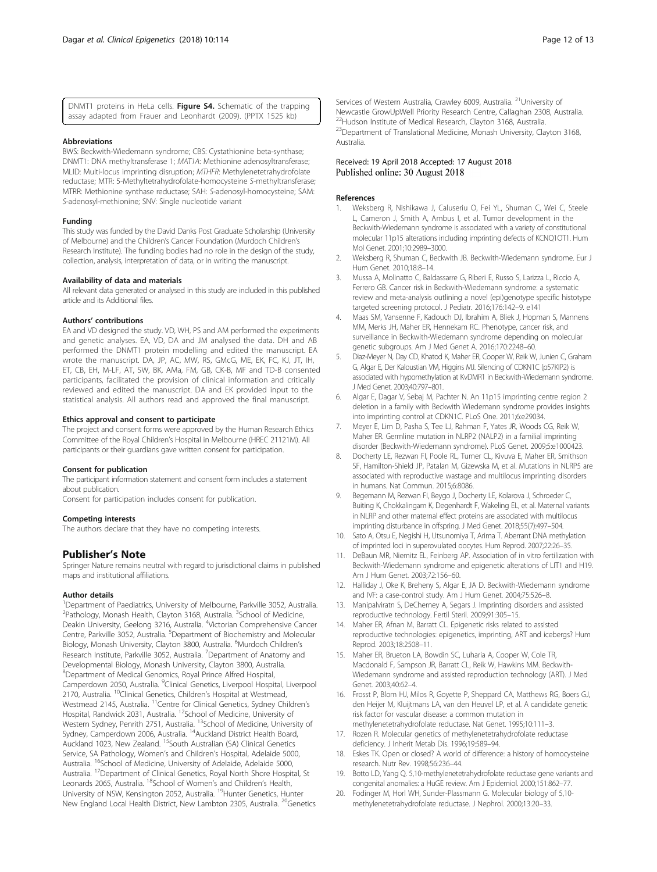DNMT1 proteins in HeLa cells. Figure S4. Schematic of the trapping assay adapted from Frauer and Leonhardt (2009). (PPTX 1525 kb)

#### Abbreviations

BWS: Beckwith-Wiedemann syndrome; CBS: Cystathionine beta-synthase; DNMT1: DNA methyltransferase 1; MAT1A: Methionine adenosyltransferase; MLID: Multi-locus imprinting disruption; MTHFR: Methylenetetrahydrofolate reductase; MTR: 5-Methyltetrahydrofolate-homocysteine S-methyltransferase; MTRR: Methionine synthase reductase; SAH: S-adenosyl-homocysteine; SAM: S-adenosyl-methionine; SNV: Single nucleotide variant

#### Funding

This study was funded by the David Danks Post Graduate Scholarship (University of Melbourne) and the Children's Cancer Foundation (Murdoch Children's Research Institute). The funding bodies had no role in the design of the study, collection, analysis, interpretation of data, or in writing the manuscript.

#### Availability of data and materials

All relevant data generated or analysed in this study are included in this published article and its Additional files.

#### Authors' contributions

EA and VD designed the study. VD, WH, PS and AM performed the experiments and genetic analyses. EA, VD, DA and JM analysed the data. DH and AB performed the DNMT1 protein modelling and edited the manuscript. EA wrote the manuscript. DA, JP, AC, MW, RS, GMcG, ME, EK, FC, KJ, JT, IH, ET, CB, EH, M-LF, AT, SW, BK, AMa, FM, GB, CK-B, MF and TD-B consented participants, facilitated the provision of clinical information and critically reviewed and edited the manuscript. DA and EK provided input to the statistical analysis. All authors read and approved the final manuscript.

#### Ethics approval and consent to participate

The project and consent forms were approved by the Human Research Ethics Committee of the Royal Children's Hospital in Melbourne (HREC 21121M). All participants or their guardians gave written consent for participation.

#### Consent for publication

The participant information statement and consent form includes a statement about publication.

Consent for participation includes consent for publication.

#### Competing interests

The authors declare that they have no competing interests.

#### Publisher's Note

Springer Nature remains neutral with regard to jurisdictional claims in published maps and institutional affiliations.

#### Author details

<sup>1</sup>Department of Paediatrics, University of Melbourne, Parkville 3052, Australia. <sup>2</sup> Pathology, Monash Health, Clayton 3168, Australia. <sup>3</sup> School of Medicine, Deakin University, Geelong 3216, Australia. <sup>4</sup>Victorian Comprehensive Cancer Centre, Parkville 3052, Australia. <sup>5</sup>Department of Biochemistry and Molecular Biology, Monash University, Clayton 3800, Australia. <sup>6</sup>Murdoch Children's Research Institute, Parkville 3052, Australia. <sup>7</sup>Department of Anatomy and Developmental Biology, Monash University, Clayton 3800, Australia. 8 Department of Medical Genomics, Royal Prince Alfred Hospital, Camperdown 2050, Australia. <sup>9</sup>Clinical Genetics, Liverpool Hospital, Liverpool 2170, Australia. <sup>10</sup>Clinical Genetics, Children's Hospital at Westmead, Westmead 2145, Australia. <sup>11</sup>Centre for Clinical Genetics, Sydney Children's Hospital, Randwick 2031, Australia. 12School of Medicine, University of Western Sydney, Penrith 2751, Australia. <sup>13</sup>School of Medicine, University of Sydney, Camperdown 2006, Australia. <sup>14</sup>Auckland District Health Board, Auckland 1023, New Zealand. 15South Australian (SA) Clinical Genetics Service, SA Pathology, Women's and Children's Hospital, Adelaide 5000, Australia. <sup>16</sup>School of Medicine, University of Adelaide, Adelaide 5000, Australia. 17Department of Clinical Genetics, Royal North Shore Hospital, St Leonards 2065, Australia. 18School of Women's and Children's Health, University of NSW, Kensington 2052, Australia. <sup>19</sup>Hunter Genetics, Hunter New England Local Health District, New Lambton 2305, Australia. <sup>20</sup>Genetics

Services of Western Australia, Crawley 6009, Australia. <sup>21</sup>University of Newcastle GrowUpWell Priority Research Centre, Callaghan 2308, Australia. 22Hudson Institute of Medical Research, Clayton 3168, Australia. <sup>23</sup>Department of Translational Medicine, Monash University, Clayton 3168, Australia.

#### Received: 19 April 2018 Accepted: 17 August 2018 Published online: 30 August 2018

#### References

- 1. Weksberg R, Nishikawa J, Caluseriu O, Fei YL, Shuman C, Wei C, Steele L, Cameron J, Smith A, Ambus I, et al. Tumor development in the Beckwith-Wiedemann syndrome is associated with a variety of constitutional molecular 11p15 alterations including imprinting defects of KCNQ1OT1. Hum Mol Genet. 2001;10:2989–3000.
- 2. Weksberg R, Shuman C, Beckwith JB. Beckwith-Wiedemann syndrome. Eur J Hum Genet. 2010;18:8–14.
- 3. Mussa A, Molinatto C, Baldassarre G, Riberi E, Russo S, Larizza L, Riccio A, Ferrero GB. Cancer risk in Beckwith-Wiedemann syndrome: a systematic review and meta-analysis outlining a novel (epi)genotype specific histotype targeted screening protocol. J Pediatr. 2016;176:142–9. e141
- 4. Maas SM, Vansenne F, Kadouch DJ, Ibrahim A, Bliek J, Hopman S, Mannens MM, Merks JH, Maher ER, Hennekam RC. Phenotype, cancer risk, and surveillance in Beckwith-Wiedemann syndrome depending on molecular genetic subgroups. Am J Med Genet A. 2016;170:2248–60.
- 5. Diaz-Meyer N, Day CD, Khatod K, Maher ER, Cooper W, Reik W, Junien C, Graham G, Algar E, Der Kaloustian VM, Higgins MJ. Silencing of CDKN1C (p57KIP2) is associated with hypomethylation at KvDMR1 in Beckwith-Wiedemann syndrome. J Med Genet. 2003;40:797–801.
- 6. Algar E, Dagar V, Sebaj M, Pachter N. An 11p15 imprinting centre region 2 deletion in a family with Beckwith Wiedemann syndrome provides insights into imprinting control at CDKN1C. PLoS One. 2011;6:e29034.
- 7. Meyer E, Lim D, Pasha S, Tee LJ, Rahman F, Yates JR, Woods CG, Reik W, Maher ER. Germline mutation in NLRP2 (NALP2) in a familial imprinting disorder (Beckwith-Wiedemann syndrome). PLoS Genet. 2009;5:e1000423.
- 8. Docherty LE, Rezwan FI, Poole RL, Turner CL, Kivuva E, Maher ER, Smithson SF, Hamilton-Shield JP, Patalan M, Gizewska M, et al. Mutations in NLRP5 are associated with reproductive wastage and multilocus imprinting disorders in humans. Nat Commun. 2015;6:8086.
- 9. Begemann M, Rezwan FI, Beygo J, Docherty LE, Kolarova J, Schroeder C, Buiting K, Chokkalingam K, Degenhardt F, Wakeling EL, et al. Maternal variants in NLRP and other maternal effect proteins are associated with multilocus imprinting disturbance in offspring. J Med Genet. 2018;55(7):497–504.
- 10. Sato A, Otsu E, Negishi H, Utsunomiya T, Arima T. Aberrant DNA methylation of imprinted loci in superovulated oocytes. Hum Reprod. 2007;22:26–35.
- 11. DeBaun MR, Niemitz EL, Feinberg AP. Association of in vitro fertilization with Beckwith-Wiedemann syndrome and epigenetic alterations of LIT1 and H19. Am J Hum Genet. 2003;72:156–60.
- 12. Halliday J, Oke K, Breheny S, Algar E, JA D. Beckwith-Wiedemann syndrome and IVF: a case-control study. Am J Hum Genet. 2004;75:526–8.
- 13. Manipalviratn S, DeCherney A, Segars J. Imprinting disorders and assisted reproductive technology. Fertil Steril. 2009;91:305–15.
- 14. Maher ER, Afnan M, Barratt CL. Epigenetic risks related to assisted reproductive technologies: epigenetics, imprinting, ART and icebergs? Hum Reprod. 2003;18:2508–11.
- 15. Maher ER, Brueton LA, Bowdin SC, Luharia A, Cooper W, Cole TR, Macdonald F, Sampson JR, Barratt CL, Reik W, Hawkins MM. Beckwith-Wiedemann syndrome and assisted reproduction technology (ART). J Med Genet. 2003;40:62–4.
- 16. Frosst P, Blom HJ, Milos R, Goyette P, Sheppard CA, Matthews RG, Boers GJ, den Heijer M, Kluijtmans LA, van den Heuvel LP, et al. A candidate genetic risk factor for vascular disease: a common mutation in methylenetetrahydrofolate reductase. Nat Genet. 1995;10:111–3.
- 17. Rozen R. Molecular genetics of methylenetetrahydrofolate reductase deficiency. J Inherit Metab Dis. 1996;19:589–94.
- 18. Eskes TK. Open or closed? A world of difference: a history of homocysteine research. Nutr Rev. 1998;56:236–44.
- 19. Botto LD, Yang Q. 5,10-methylenetetrahydrofolate reductase gene variants and congenital anomalies: a HuGE review. Am J Epidemiol. 2000;151:862–77.
- 20. Fodinger M, Horl WH, Sunder-Plassmann G. Molecular biology of 5,10 methylenetetrahydrofolate reductase. J Nephrol. 2000;13:20–33.